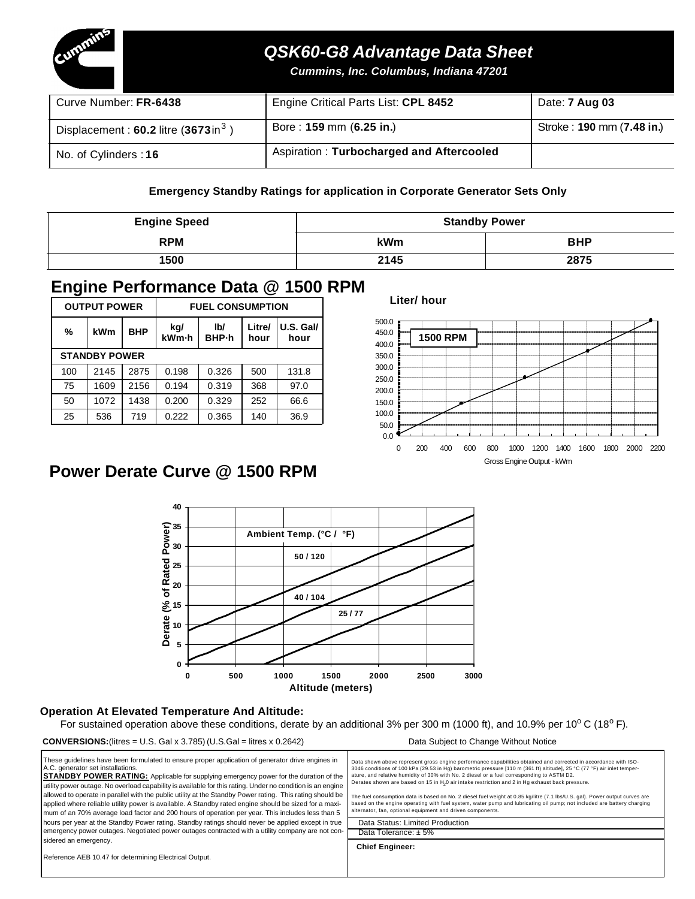

# *QSK60-G8 Advantage Data Sheet*

*Cummins, Inc. Columbus, Indiana 47201*

| Curve Number: FR-6438                            | Engine Critical Parts List: CPL 8452     | Date: <b>7 Aug 03</b>     |
|--------------------------------------------------|------------------------------------------|---------------------------|
| Displacement: $60.2$ litre $(3673 \text{ in}^3)$ | Bore: 159 mm (6.25 in.)                  | Stroke: 190 mm (7.48 in.) |
| No. of Cylinders: 16                             | Aspiration: Turbocharged and Aftercooled |                           |

#### **Emergency Standby Ratings for application in Corporate Generator Sets Only**

| <b>Engine Speed</b> | <b>Standby Power</b> |            |  |
|---------------------|----------------------|------------|--|
| <b>RPM</b>          | kWm                  | <b>BHP</b> |  |
| 1500                | 2145                 | 2875       |  |

## **Engine Performance Data @ 1500 RPM**

|     | <b>OUTPUT POWER</b>  |            | <b>FUEL CONSUMPTION</b> |              |                |                   |  |
|-----|----------------------|------------|-------------------------|--------------|----------------|-------------------|--|
| %   | kWm                  | <b>BHP</b> | kg/<br>kWm-h            | lb/<br>BHP-h | Litre/<br>hour | U.S. Gall<br>hour |  |
|     | <b>STANDBY POWER</b> |            |                         |              |                |                   |  |
| 100 | 2145                 | 2875       | 0.198                   | 0.326        | 500            | 131.8             |  |
| 75  | 1609                 | 2156       | 0.194                   | 0.319        | 368            | 97.0              |  |
| 50  | 1072                 | 1438       | 0.200                   | 0.329        | 252            | 66.6              |  |
| 25  | 536                  | 719        | 0.222                   | 0.365        | 140            | 36.9              |  |

**Liter/ hour**



# **Power Derate Curve @ 1500 RPM**



#### **Operation At Elevated Temperature And Altitude:**

For sustained operation above these conditions, derate by an additional 3% per 300 m (1000 ft), and 10.9% per 10<sup>o</sup> C (18<sup>o</sup> F).

#### **CONVERSIONS:**(litres = U.S. Gal x 3.785) (U.S.Gal = litres x 0.2642) Data Subject to Change Without Notice

| These guidelines have been formulated to ensure proper application of generator drive engines in<br>A.C. generator set installations.<br><b>STANDBY POWER RATING:</b> Applicable for supplying emergency power for the duration of the<br>utility power outage. No overload capability is available for this rating. Under no condition is an engine<br>allowed to operate in parallel with the public utility at the Standby Power rating. This rating should be<br>applied where reliable utility power is available. A Standby rated engine should be sized for a maxi-<br>mum of an 70% average load factor and 200 hours of operation per year. This includes less than 5<br>hours per year at the Standby Power rating. Standby ratings should never be applied except in true | Data shown above represent gross engine performance capabilities obtained and corrected in accordance with ISO-<br>3046 conditions of 100 kPa (29.53 in Hg) barometric pressure [110 m (361 ft) altitude], 25 °C (77 °F) air inlet temper-<br>ature, and relative humidity of 30% with No. 2 diesel or a fuel corresponding to ASTM D2.<br>Derates shown are based on 15 in H <sub>2</sub> 0 air intake restriction and 2 in Hg exhaust back pressure.<br>The fuel consumption data is based on No. 2 diesel fuel weight at 0.85 kg/litre (7.1 lbs/U.S. gal). Power output curves are<br>based on the engine operating with fuel system, water pump and lubricating oil pump; not included are battery charging<br>alternator, fan, optional equipment and driven components.<br>Data Status: Limited Production |
|--------------------------------------------------------------------------------------------------------------------------------------------------------------------------------------------------------------------------------------------------------------------------------------------------------------------------------------------------------------------------------------------------------------------------------------------------------------------------------------------------------------------------------------------------------------------------------------------------------------------------------------------------------------------------------------------------------------------------------------------------------------------------------------|------------------------------------------------------------------------------------------------------------------------------------------------------------------------------------------------------------------------------------------------------------------------------------------------------------------------------------------------------------------------------------------------------------------------------------------------------------------------------------------------------------------------------------------------------------------------------------------------------------------------------------------------------------------------------------------------------------------------------------------------------------------------------------------------------------------|
| emergency power outages. Negotiated power outages contracted with a utility company are not con-                                                                                                                                                                                                                                                                                                                                                                                                                                                                                                                                                                                                                                                                                     | Data Tolerance: $\pm$ 5%                                                                                                                                                                                                                                                                                                                                                                                                                                                                                                                                                                                                                                                                                                                                                                                         |
| sidered an emergency.                                                                                                                                                                                                                                                                                                                                                                                                                                                                                                                                                                                                                                                                                                                                                                |                                                                                                                                                                                                                                                                                                                                                                                                                                                                                                                                                                                                                                                                                                                                                                                                                  |
| Reference AEB 10.47 for determining Electrical Output.                                                                                                                                                                                                                                                                                                                                                                                                                                                                                                                                                                                                                                                                                                                               | <b>Chief Engineer:</b>                                                                                                                                                                                                                                                                                                                                                                                                                                                                                                                                                                                                                                                                                                                                                                                           |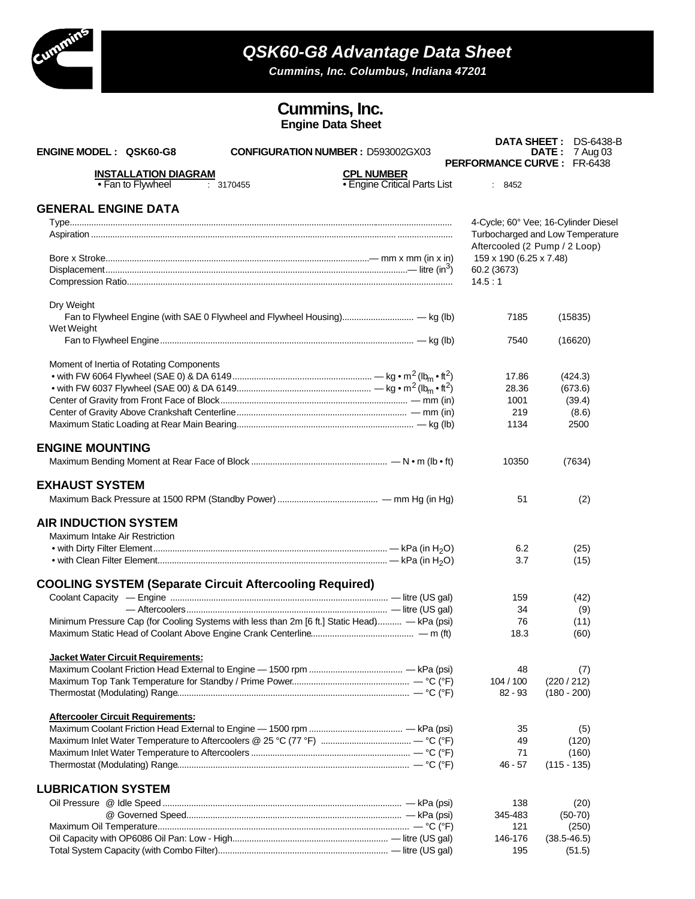

## *QSK60-G8 Advantage Data Sheet*

*Cummins, Inc. Columbus, Indiana 47201*

### **Cummins, Inc. Engine Data Sheet**

| <b>ENGINE MODEL: QSK60-G8</b><br><b>CONFIGURATION NUMBER: D593002GX03</b>                    |                                                          | <b>PERFORMANCE CURVE: FR-6438</b> | <b>DATA SHEET: DS-6438-B</b><br><b>DATE:</b> 7 Aug 03 |
|----------------------------------------------------------------------------------------------|----------------------------------------------------------|-----------------------------------|-------------------------------------------------------|
| <b>INSTALLATION DIAGRAM</b><br>• Fan to Flywheel<br>: 3170455                                | <b>CPL NUMBER</b><br><b>• Engine Critical Parts List</b> | : 8452                            |                                                       |
| <b>GENERAL ENGINE DATA</b>                                                                   |                                                          |                                   |                                                       |
|                                                                                              |                                                          |                                   | 4-Cycle; 60° Vee; 16-Cylinder Diesel                  |
|                                                                                              |                                                          |                                   | Turbocharged and Low Temperature                      |
|                                                                                              |                                                          | Aftercooled (2 Pump / 2 Loop)     |                                                       |
|                                                                                              |                                                          | 159 x 190 (6.25 x 7.48)           |                                                       |
|                                                                                              |                                                          | 60.2 (3673)                       |                                                       |
|                                                                                              |                                                          | 14.5:1                            |                                                       |
| Dry Weight                                                                                   |                                                          |                                   |                                                       |
| Fan to Flywheel Engine (with SAE 0 Flywheel and Flywheel Housing) — kg (lb)<br>Wet Weight    |                                                          | 7185                              | (15835)                                               |
|                                                                                              |                                                          | 7540                              | (16620)                                               |
| Moment of Inertia of Rotating Components                                                     |                                                          |                                   |                                                       |
|                                                                                              |                                                          | 17.86                             | (424.3)                                               |
|                                                                                              |                                                          | 28.36                             | (673.6)                                               |
|                                                                                              |                                                          | 1001                              | (39.4)                                                |
|                                                                                              |                                                          | 219                               |                                                       |
|                                                                                              |                                                          |                                   | (8.6)                                                 |
|                                                                                              |                                                          | 1134                              | 2500                                                  |
| <b>ENGINE MOUNTING</b>                                                                       |                                                          |                                   |                                                       |
|                                                                                              |                                                          | 10350                             | (7634)                                                |
| <b>EXHAUST SYSTEM</b>                                                                        |                                                          |                                   |                                                       |
|                                                                                              |                                                          | 51                                | (2)                                                   |
| <b>AIR INDUCTION SYSTEM</b>                                                                  |                                                          |                                   |                                                       |
| Maximum Intake Air Restriction                                                               |                                                          |                                   |                                                       |
|                                                                                              |                                                          | 6.2                               | (25)                                                  |
|                                                                                              |                                                          | 3.7                               | (15)                                                  |
| <b>COOLING SYSTEM (Separate Circuit Aftercooling Required)</b>                               |                                                          |                                   |                                                       |
|                                                                                              |                                                          | 159                               | (42)                                                  |
|                                                                                              |                                                          | 34                                | (9)                                                   |
| Minimum Pressure Cap (for Cooling Systems with less than 2m [6 ft.] Static Head) - kPa (psi) |                                                          | 76                                | (11)                                                  |
|                                                                                              |                                                          | 18.3                              | (60)                                                  |
| <b>Jacket Water Circuit Requirements:</b>                                                    |                                                          |                                   |                                                       |
|                                                                                              |                                                          | 48                                | (7)                                                   |
|                                                                                              |                                                          | 104 / 100                         | (220 / 212)                                           |
|                                                                                              |                                                          | $82 - 93$                         | $(180 - 200)$                                         |
| <b>Aftercooler Circuit Requirements:</b>                                                     |                                                          |                                   |                                                       |
|                                                                                              |                                                          | 35                                | (5)                                                   |
|                                                                                              |                                                          | 49                                | (120)                                                 |
|                                                                                              |                                                          | 71                                | (160)                                                 |
|                                                                                              |                                                          | $46 - 57$                         | $(115 - 135)$                                         |
| <b>LUBRICATION SYSTEM</b>                                                                    |                                                          |                                   |                                                       |
|                                                                                              |                                                          | 138                               | (20)                                                  |
|                                                                                              |                                                          | 345-483                           | $(50-70)$                                             |
|                                                                                              |                                                          | 121                               | (250)                                                 |
|                                                                                              |                                                          | 146-176                           | $(38.5 - 46.5)$                                       |
|                                                                                              |                                                          | 195                               | (51.5)                                                |
|                                                                                              |                                                          |                                   |                                                       |